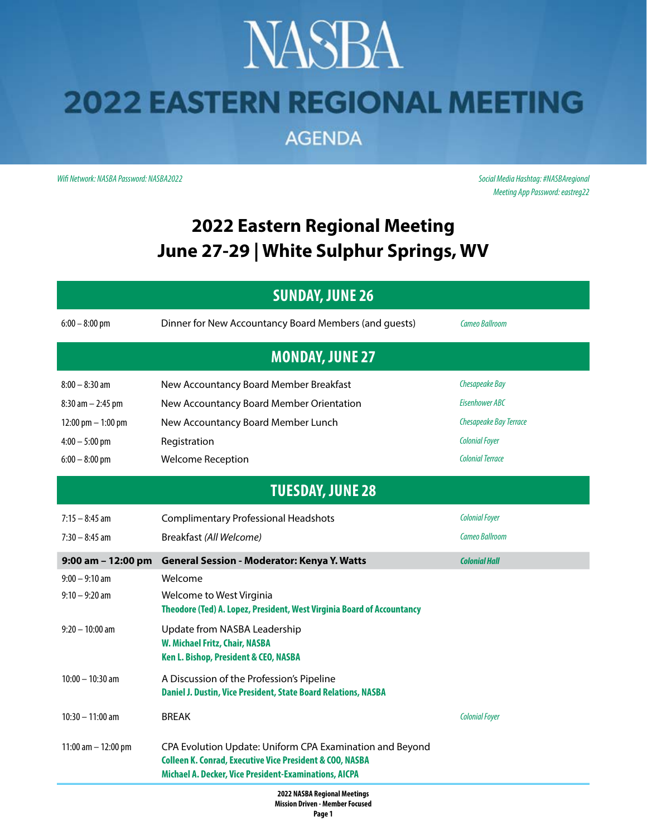## **NASBA 2022 EASTERN REGIONAL MEETING**

**AGENDA** 

*Wifi Network: NASBA Password: NASBA2022 Social Media Hashtag: #NASBAregional*

*Meeting App Password: eastreg22*

#### **2022 Eastern Regional Meeting June 27-29 | White Sulphur Springs, WV**

| <b>SUNDAY, JUNE 26</b>  |                                                                                                                                                                                          |                         |  |  |
|-------------------------|------------------------------------------------------------------------------------------------------------------------------------------------------------------------------------------|-------------------------|--|--|
| $6:00 - 8:00$ pm        | Dinner for New Accountancy Board Members (and guests)                                                                                                                                    | Cameo Ballroom          |  |  |
| <b>MONDAY, JUNE 27</b>  |                                                                                                                                                                                          |                         |  |  |
| $8:00 - 8:30$ am        | New Accountancy Board Member Breakfast                                                                                                                                                   | Chesapeake Bay          |  |  |
| $8:30$ am $- 2:45$ pm   | New Accountancy Board Member Orientation                                                                                                                                                 | Eisenhower ABC          |  |  |
| 12:00 pm $-$ 1:00 pm    | New Accountancy Board Member Lunch                                                                                                                                                       | Chesapeake Bay Terrace  |  |  |
| $4:00 - 5:00$ pm        | Registration                                                                                                                                                                             | <b>Colonial Foyer</b>   |  |  |
| $6:00 - 8:00$ pm        | <b>Welcome Reception</b>                                                                                                                                                                 | <b>Colonial Terrace</b> |  |  |
| <b>TUESDAY, JUNE 28</b> |                                                                                                                                                                                          |                         |  |  |
| $7:15 - 8:45$ am        | <b>Complimentary Professional Headshots</b>                                                                                                                                              | <b>Colonial Foyer</b>   |  |  |
| $7:30 - 8:45$ am        | Breakfast (All Welcome)                                                                                                                                                                  | <b>Cameo Ballroom</b>   |  |  |
| $9:00$ am $-12:00$ pm   | <b>General Session - Moderator: Kenya Y. Watts</b>                                                                                                                                       | <b>Colonial Hall</b>    |  |  |
| $9:00 - 9:10$ am        | Welcome                                                                                                                                                                                  |                         |  |  |
| $9:10 - 9:20$ am        | Welcome to West Virginia<br>Theodore (Ted) A. Lopez, President, West Virginia Board of Accountancy                                                                                       |                         |  |  |
| $9:20 - 10:00$ am       | Update from NASBA Leadership<br>W. Michael Fritz, Chair, NASBA<br>Ken L. Bishop, President & CEO, NASBA                                                                                  |                         |  |  |
| $10:00 - 10:30$ am      | A Discussion of the Profession's Pipeline<br>Daniel J. Dustin, Vice President, State Board Relations, NASBA                                                                              |                         |  |  |
| $10:30 - 11:00$ am      | <b>BREAK</b>                                                                                                                                                                             | <b>Colonial Foyer</b>   |  |  |
| 11:00 am $-$ 12:00 pm   | CPA Evolution Update: Uniform CPA Examination and Beyond<br><b>Colleen K. Conrad, Executive Vice President &amp; COO, NASBA</b><br>Michael A. Decker, Vice President-Examinations, AICPA |                         |  |  |
| <b>3033 HACDA B. </b>   |                                                                                                                                                                                          |                         |  |  |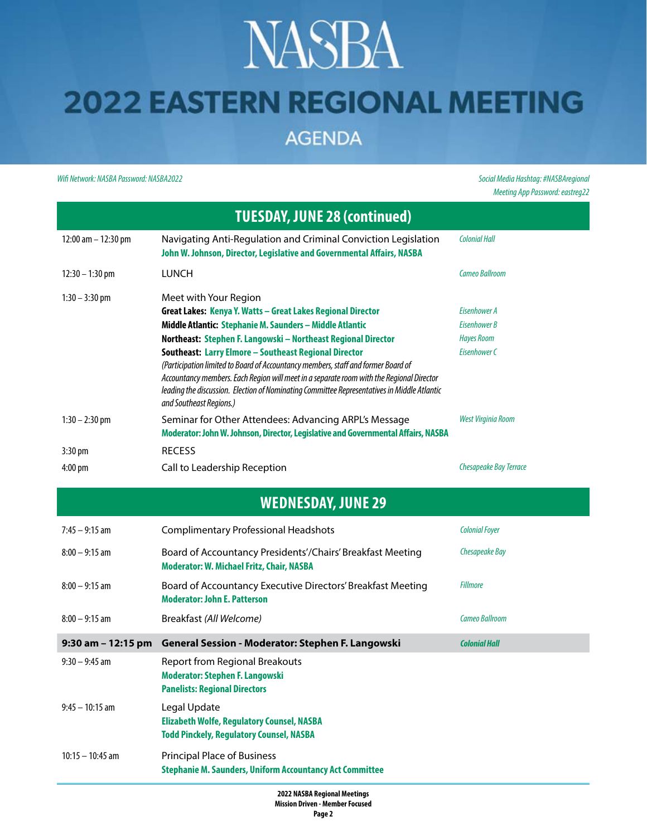## **NASBA 2022 EASTERN REGIONAL MEETING**

**AGENDA** 

*Wifi Network: NASBA Password: NASBA2022 Social Media Hashtag: #NASBAregional*

*Meeting App Password: eastreg22*

| <b>TUESDAY, JUNE 28 (continued)</b> |                                                                                                                                                                                                                                                                                                                                                                                                                                                                                                                                                                                       |                                                                   |  |  |
|-------------------------------------|---------------------------------------------------------------------------------------------------------------------------------------------------------------------------------------------------------------------------------------------------------------------------------------------------------------------------------------------------------------------------------------------------------------------------------------------------------------------------------------------------------------------------------------------------------------------------------------|-------------------------------------------------------------------|--|--|
| 12:00 am - 12:30 pm                 | Navigating Anti-Regulation and Criminal Conviction Legislation<br>John W. Johnson, Director, Legislative and Governmental Affairs, NASBA                                                                                                                                                                                                                                                                                                                                                                                                                                              | <b>Colonial Hall</b>                                              |  |  |
| $12:30 - 1:30$ pm                   | <b>LUNCH</b>                                                                                                                                                                                                                                                                                                                                                                                                                                                                                                                                                                          | Cameo Ballroom                                                    |  |  |
| $1:30 - 3:30$ pm                    | Meet with Your Region<br>Great Lakes: Kenya Y. Watts - Great Lakes Regional Director<br>Middle Atlantic: Stephanie M. Saunders - Middle Atlantic<br>Northeast: Stephen F. Langowski - Northeast Regional Director<br>Southeast: Larry Elmore - Southeast Regional Director<br>(Participation limited to Board of Accountancy members, staff and former Board of<br>Accountancy members. Each Region will meet in a separate room with the Regional Director<br>leading the discussion. Election of Nominating Committee Representatives in Middle Atlantic<br>and Southeast Regions.) | Eisenhower A<br>Eisenhower B<br><b>Hayes Room</b><br>Eisenhower C |  |  |
| $1:30 - 2:30$ pm                    | Seminar for Other Attendees: Advancing ARPL's Message<br>Moderator: John W. Johnson, Director, Legislative and Governmental Affairs, NASBA                                                                                                                                                                                                                                                                                                                                                                                                                                            | <b>West Virginia Room</b>                                         |  |  |
| 3:30 pm<br>4:00 pm                  | <b>RECESS</b><br>Call to Leadership Reception                                                                                                                                                                                                                                                                                                                                                                                                                                                                                                                                         | Chesapeake Bay Terrace                                            |  |  |
| <b>WEDNESDAY, JUNE 29</b>           |                                                                                                                                                                                                                                                                                                                                                                                                                                                                                                                                                                                       |                                                                   |  |  |
| $7:45 - 9:15$ am                    | <b>Complimentary Professional Headshots</b>                                                                                                                                                                                                                                                                                                                                                                                                                                                                                                                                           | <b>Colonial Foyer</b>                                             |  |  |
| $8:00 - 9:15$ am                    | Board of Accountancy Presidents'/Chairs' Breakfast Meeting<br><b>Moderator: W. Michael Fritz, Chair, NASBA</b>                                                                                                                                                                                                                                                                                                                                                                                                                                                                        | <b>Chesapeake Bay</b>                                             |  |  |
| $8:00 - 9:15$ am                    | Board of Accountancy Executive Directors' Breakfast Meeting<br><b>Moderator: John E. Patterson</b>                                                                                                                                                                                                                                                                                                                                                                                                                                                                                    | <b>Fillmore</b>                                                   |  |  |
| $8:00 - 9:15$ am                    | Breakfast (All Welcome)                                                                                                                                                                                                                                                                                                                                                                                                                                                                                                                                                               | <b>Cameo Ballroom</b>                                             |  |  |
|                                     | 9:30 am - 12:15 pm General Session - Moderator: Stephen F. Langowski                                                                                                                                                                                                                                                                                                                                                                                                                                                                                                                  | <b>Colonial Hall</b>                                              |  |  |
| $9:30 - 9:45$ am                    | <b>Report from Regional Breakouts</b><br><b>Moderator: Stephen F. Langowski</b><br><b>Panelists: Regional Directors</b>                                                                                                                                                                                                                                                                                                                                                                                                                                                               |                                                                   |  |  |
| $9:45 - 10:15$ am                   | Legal Update<br><b>Elizabeth Wolfe, Regulatory Counsel, NASBA</b><br><b>Todd Pinckely, Regulatory Counsel, NASBA</b>                                                                                                                                                                                                                                                                                                                                                                                                                                                                  |                                                                   |  |  |
| $10:15 - 10:45$ am                  | <b>Principal Place of Business</b><br><b>Stephanie M. Saunders, Uniform Accountancy Act Committee</b>                                                                                                                                                                                                                                                                                                                                                                                                                                                                                 |                                                                   |  |  |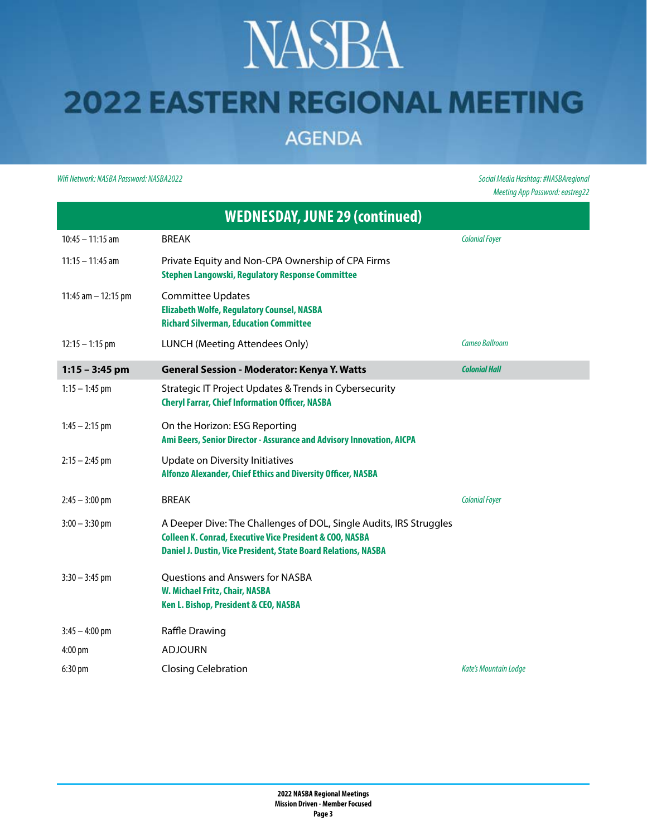# **NASBA**

### **2022 EASTERN REGIONAL MEETING**

**AGENDA** 

*Wifi Network: NASBA Password: NASBA2022 Social Media Hashtag: #NASBAregional*

*Meeting App Password: eastreg22*

| <b>WEDNESDAY, JUNE 29 (continued)</b> |                                                                                                                                                                                                             |                              |  |  |
|---------------------------------------|-------------------------------------------------------------------------------------------------------------------------------------------------------------------------------------------------------------|------------------------------|--|--|
| $10:45 - 11:15$ am                    | <b>BREAK</b>                                                                                                                                                                                                | <b>Colonial Foyer</b>        |  |  |
| $11:15 - 11:45$ am                    | Private Equity and Non-CPA Ownership of CPA Firms<br><b>Stephen Langowski, Regulatory Response Committee</b>                                                                                                |                              |  |  |
| 11:45 $am - 12:15$ pm                 | <b>Committee Updates</b><br><b>Elizabeth Wolfe, Regulatory Counsel, NASBA</b><br><b>Richard Silverman, Education Committee</b>                                                                              |                              |  |  |
| $12:15 - 1:15$ pm                     | LUNCH (Meeting Attendees Only)                                                                                                                                                                              | Cameo Ballroom               |  |  |
| $1:15 - 3:45$ pm                      | <b>General Session - Moderator: Kenya Y. Watts</b>                                                                                                                                                          | <b>Colonial Hall</b>         |  |  |
| $1:15 - 1:45$ pm                      | Strategic IT Project Updates & Trends in Cybersecurity<br><b>Cheryl Farrar, Chief Information Officer, NASBA</b>                                                                                            |                              |  |  |
| $1:45 - 2:15$ pm                      | On the Horizon: ESG Reporting<br>Ami Beers, Senior Director - Assurance and Advisory Innovation, AICPA                                                                                                      |                              |  |  |
| $2:15 - 2:45$ pm                      | Update on Diversity Initiatives<br>Alfonzo Alexander, Chief Ethics and Diversity Officer, NASBA                                                                                                             |                              |  |  |
| $2:45 - 3:00$ pm                      | <b>BREAK</b>                                                                                                                                                                                                | <b>Colonial Foyer</b>        |  |  |
| $3:00 - 3:30$ pm                      | A Deeper Dive: The Challenges of DOL, Single Audits, IRS Struggles<br><b>Colleen K. Conrad, Executive Vice President &amp; COO, NASBA</b><br>Daniel J. Dustin, Vice President, State Board Relations, NASBA |                              |  |  |
| $3:30 - 3:45$ pm                      | <b>Questions and Answers for NASBA</b><br>W. Michael Fritz, Chair, NASBA<br>Ken L. Bishop, President & CEO, NASBA                                                                                           |                              |  |  |
| $3:45 - 4:00$ pm                      | Raffle Drawing                                                                                                                                                                                              |                              |  |  |
| $4:00 \text{ pm}$                     | <b>ADJOURN</b>                                                                                                                                                                                              |                              |  |  |
| $6:30 \text{ pm}$                     | <b>Closing Celebration</b>                                                                                                                                                                                  | <b>Kate's Mountain Lodge</b> |  |  |